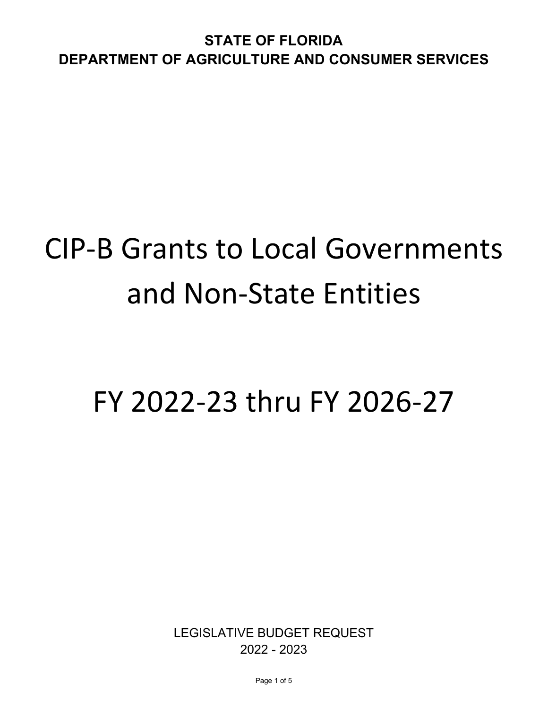## CIP-B Grants to Local Governments and Non-State Entities

#### FY 2022-23 thru FY 2026-27

LEGISLATIVE BUDGET REQUEST 2022 - 2023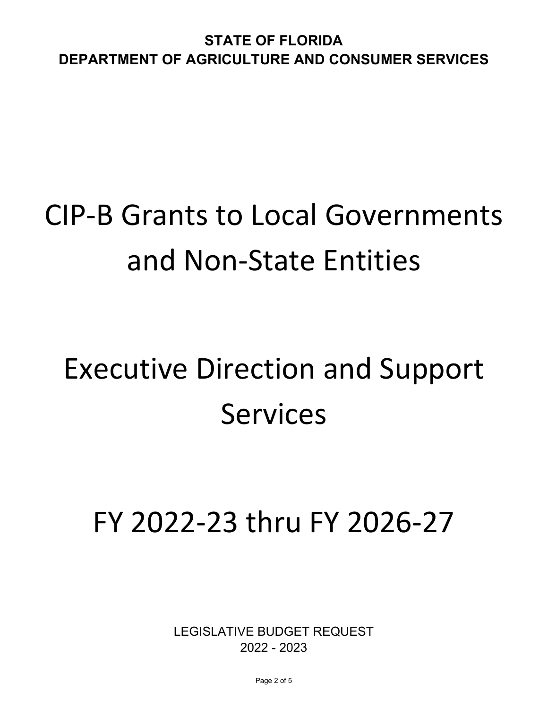## CIP-B Grants to Local Governments and Non-State Entities

# Executive Direction and Support Services

### FY 2022-23 thru FY 2026-27

LEGISLATIVE BUDGET REQUEST 2022 - 2023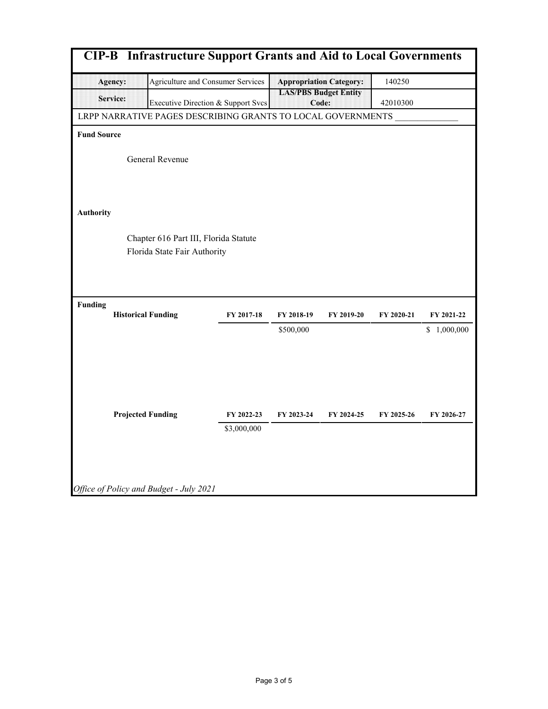| <b>CIP-B</b> Infrastructure Support Grants and Aid to Local Governments |         |                                         |                           |                                       |                                |            |             |  |  |  |  |  |  |
|-------------------------------------------------------------------------|---------|-----------------------------------------|---------------------------|---------------------------------------|--------------------------------|------------|-------------|--|--|--|--|--|--|
|                                                                         | Agency: | Agriculture and Consumer Services       |                           |                                       | <b>Appropriation Category:</b> | 140250     |             |  |  |  |  |  |  |
| Service:                                                                |         | Executive Direction & Support Svcs      |                           | <b>LAS/PBS Budget Entity</b><br>Code: |                                | 42010300   |             |  |  |  |  |  |  |
| LRPP NARRATIVE PAGES DESCRIBING GRANTS TO LOCAL GOVERNMENTS             |         |                                         |                           |                                       |                                |            |             |  |  |  |  |  |  |
| <b>Fund Source</b>                                                      |         |                                         |                           |                                       |                                |            |             |  |  |  |  |  |  |
|                                                                         |         | General Revenue                         |                           |                                       |                                |            |             |  |  |  |  |  |  |
| <b>Authority</b>                                                        |         |                                         |                           |                                       |                                |            |             |  |  |  |  |  |  |
|                                                                         |         | Chapter 616 Part III, Florida Statute   |                           |                                       |                                |            |             |  |  |  |  |  |  |
|                                                                         |         | Florida State Fair Authority            |                           |                                       |                                |            |             |  |  |  |  |  |  |
| <b>Funding</b>                                                          |         |                                         |                           |                                       |                                |            |             |  |  |  |  |  |  |
|                                                                         |         | <b>Historical Funding</b>               | FY 2017-18                | FY 2018-19                            | FY 2019-20                     | FY 2020-21 | FY 2021-22  |  |  |  |  |  |  |
|                                                                         |         |                                         |                           | \$500,000                             |                                |            | \$1,000,000 |  |  |  |  |  |  |
|                                                                         |         | <b>Projected Funding</b>                | FY 2022-23<br>\$3,000,000 | FY 2023-24                            | FY 2024-25                     | FY 2025-26 | FY 2026-27  |  |  |  |  |  |  |
|                                                                         |         | Office of Policy and Budget - July 2021 |                           |                                       |                                |            |             |  |  |  |  |  |  |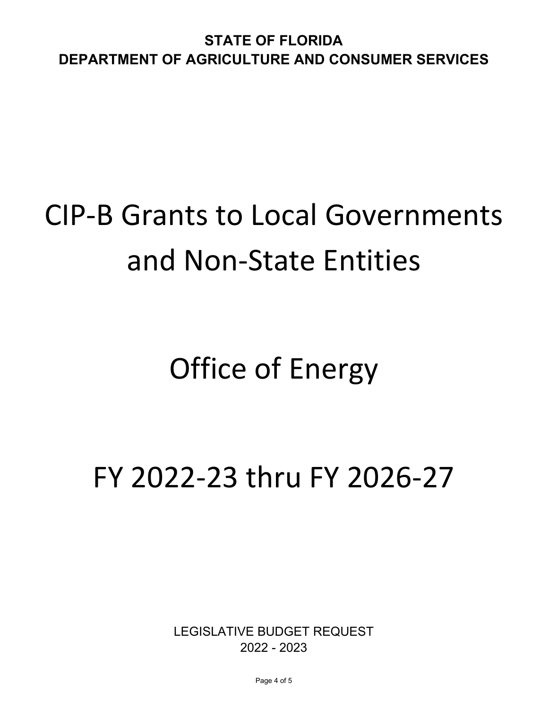## CIP-B Grants to Local Governments and Non-State Entities

## Office of Energy

FY 2022-23 thru FY 2026-27

LEGISLATIVE BUDGET REQUEST 2022 - 2023